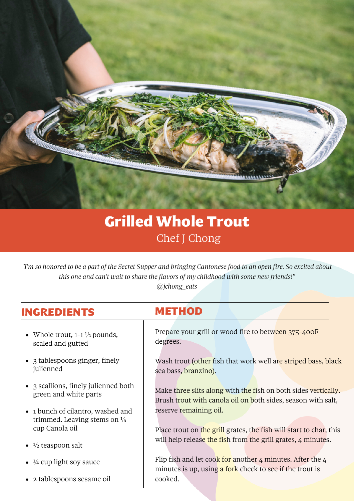

## Grilled Whole Trout Chef J Chong

*"I'm so honored to be a part of the Secret Supper and bringing Cantonese food to an open fire. So excited about this one and can't wait to share the flavors of my childhood with some new friends!"*

*@jchong\_eats*

## INGREDIENTS METHOD

- Whole trout, 1-1 ½ pounds, scaled and gutted
- 3 tablespoons ginger, finely julienned
- 3 scallions, finely julienned both green and white parts
- 1 bunch of cilantro, washed and trimmed. Leaving stems on  $\frac{1}{4}$ cup Canola oil
- $\bullet$   $\frac{1}{2}$  teaspoon salt
- ¼ cup light soy sauce
- 2 tablespoons sesame oil

Prepare your grill or wood fire to between 375-400F degrees.

Wash trout (other fish that work well are striped bass, black sea bass, branzino).

Make three slits along with the fish on both sides vertically. Brush trout with canola oil on both sides, season with salt, reserve remaining oil.

Place trout on the grill grates, the fish will start to char, this will help release the fish from the grill grates, 4 minutes.

Flip fish and let cook for another  $4$  minutes. After the  $4$ minutes is up, using a fork check to see if the trout is cooked.